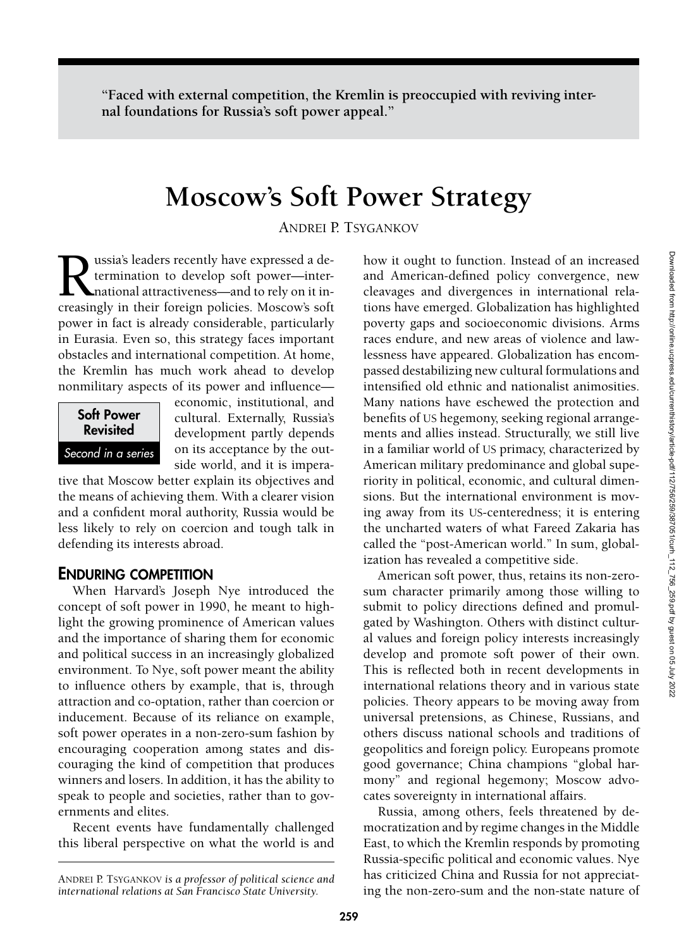**"Faced with external competition, the Kremlin is preoccupied with reviving internal foundations for Russia's soft power appeal."**

# **Moscow's Soft Power Strategy**

Andrei P. Tsygankov

**Russia's leaders recently have expressed a de-**<br>termination to develop soft power—inter-<br>creasingly in their foreign policies. Moscow's soft termination to develop soft power—international attractiveness—and to rely on it increasingly in their foreign policies. Moscow's soft power in fact is already considerable, particularly in Eurasia. Even so, this strategy faces important obstacles and international competition. At home, the Kremlin has much work ahead to develop nonmilitary aspects of its power and influence—



economic, institutional, and cultural. Externally, Russia's development partly depends on its acceptance by the outside world, and it is impera-

tive that Moscow better explain its objectives and the means of achieving them. With a clearer vision and a confident moral authority, Russia would be less likely to rely on coercion and tough talk in defending its interests abroad.

#### Enduring competition

When Harvard's Joseph Nye introduced the concept of soft power in 1990, he meant to highlight the growing prominence of American values and the importance of sharing them for economic and political success in an increasingly globalized environment. To Nye, soft power meant the ability to influence others by example, that is, through attraction and co-optation, rather than coercion or inducement. Because of its reliance on example, soft power operates in a non-zero-sum fashion by encouraging cooperation among states and discouraging the kind of competition that produces winners and losers. In addition, it has the ability to speak to people and societies, rather than to governments and elites.

Recent events have fundamentally challenged this liberal perspective on what the world is and how it ought to function. Instead of an increased and American-defined policy convergence, new cleavages and divergences in international relations have emerged. Globalization has highlighted poverty gaps and socioeconomic divisions. Arms races endure, and new areas of violence and lawlessness have appeared. Globalization has encompassed destabilizing new cultural formulations and intensified old ethnic and nationalist animosities. Many nations have eschewed the protection and benefits of US hegemony, seeking regional arrangements and allies instead. Structurally, we still live in a familiar world of US primacy, characterized by American military predominance and global superiority in political, economic, and cultural dimensions. But the international environment is moving away from its US-centeredness; it is entering the uncharted waters of what Fareed Zakaria has called the "post-American world." In sum, globalization has revealed a competitive side.

American soft power, thus, retains its non-zerosum character primarily among those willing to submit to policy directions defined and promulgated by Washington. Others with distinct cultural values and foreign policy interests increasingly develop and promote soft power of their own. This is reflected both in recent developments in international relations theory and in various state policies. Theory appears to be moving away from universal pretensions, as Chinese, Russians, and others discuss national schools and traditions of geopolitics and foreign policy. Europeans promote good governance; China champions "global harmony" and regional hegemony; Moscow advocates sovereignty in international affairs.

Russia, among others, feels threatened by democratization and by regime changes in the Middle East, to which the Kremlin responds by promoting Russia-specific political and economic values. Nye has criticized China and Russia for not appreciating the non-zero-sum and the non-state nature of

Andrei P. Tsygankov *is a professor of political science and international relations at San Francisco State University.*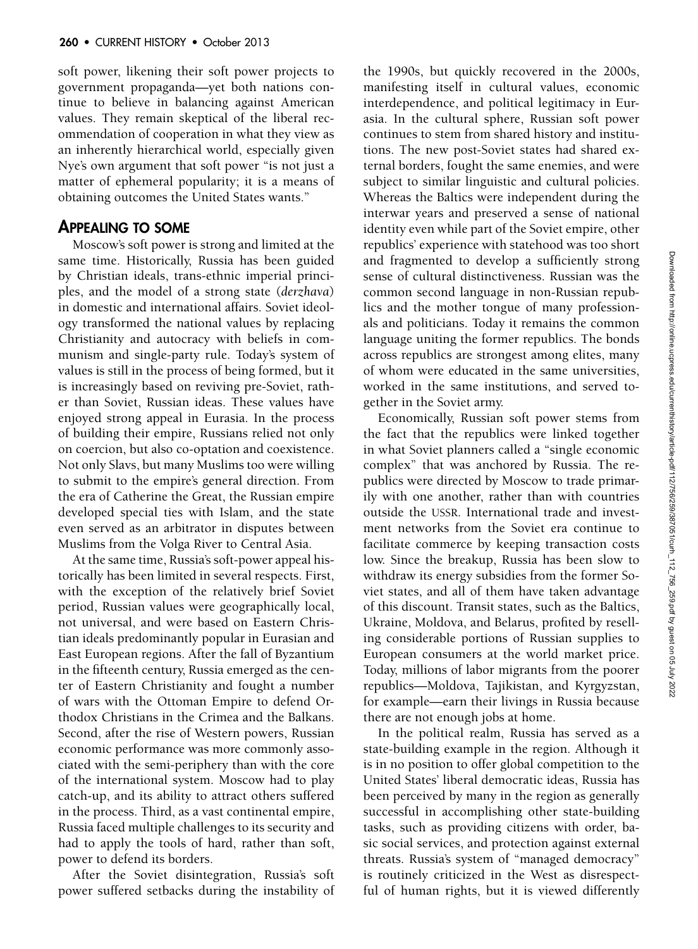soft power, likening their soft power projects to government propaganda—yet both nations continue to believe in balancing against American values. They remain skeptical of the liberal recommendation of cooperation in what they view as an inherently hierarchical world, especially given Nye's own argument that soft power "is not just a matter of ephemeral popularity; it is a means of obtaining outcomes the United States wants."

# Appealing to some

Moscow's soft power is strong and limited at the same time. Historically, Russia has been guided by Christian ideals, trans-ethnic imperial principles, and the model of a strong state (*derzhava*) in domestic and international affairs. Soviet ideology transformed the national values by replacing Christianity and autocracy with beliefs in communism and single-party rule. Today's system of values is still in the process of being formed, but it is increasingly based on reviving pre-Soviet, rather than Soviet, Russian ideas. These values have enjoyed strong appeal in Eurasia. In the process of building their empire, Russians relied not only on coercion, but also co-optation and coexistence. Not only Slavs, but many Muslims too were willing to submit to the empire's general direction. From the era of Catherine the Great, the Russian empire developed special ties with Islam, and the state even served as an arbitrator in disputes between Muslims from the Volga River to Central Asia.

At the same time, Russia's soft-power appeal historically has been limited in several respects. First, with the exception of the relatively brief Soviet period, Russian values were geographically local, not universal, and were based on Eastern Christian ideals predominantly popular in Eurasian and East European regions. After the fall of Byzantium in the fifteenth century, Russia emerged as the center of Eastern Christianity and fought a number of wars with the Ottoman Empire to defend Orthodox Christians in the Crimea and the Balkans. Second, after the rise of Western powers, Russian economic performance was more commonly associated with the semi-periphery than with the core of the international system. Moscow had to play catch-up, and its ability to attract others suffered in the process. Third, as a vast continental empire, Russia faced multiple challenges to its security and had to apply the tools of hard, rather than soft, power to defend its borders.

After the Soviet disintegration, Russia's soft power suffered setbacks during the instability of

the 1990s, but quickly recovered in the 2000s, manifesting itself in cultural values, economic interdependence, and political legitimacy in Eurasia. In the cultural sphere, Russian soft power continues to stem from shared history and institutions. The new post-Soviet states had shared external borders, fought the same enemies, and were subject to similar linguistic and cultural policies. Whereas the Baltics were independent during the interwar years and preserved a sense of national identity even while part of the Soviet empire, other republics' experience with statehood was too short and fragmented to develop a sufficiently strong sense of cultural distinctiveness. Russian was the common second language in non-Russian republics and the mother tongue of many professionals and politicians. Today it remains the common language uniting the former republics. The bonds across republics are strongest among elites, many of whom were educated in the same universities, worked in the same institutions, and served together in the Soviet army.

Economically, Russian soft power stems from the fact that the republics were linked together in what Soviet planners called a "single economic complex" that was anchored by Russia. The republics were directed by Moscow to trade primarily with one another, rather than with countries outside the USSR. International trade and investment networks from the Soviet era continue to facilitate commerce by keeping transaction costs low. Since the breakup, Russia has been slow to withdraw its energy subsidies from the former Soviet states, and all of them have taken advantage of this discount. Transit states, such as the Baltics, Ukraine, Moldova, and Belarus, profited by reselling considerable portions of Russian supplies to European consumers at the world market price. Today, millions of labor migrants from the poorer republics—Moldova, Tajikistan, and Kyrgyzstan, for example—earn their livings in Russia because there are not enough jobs at home.

In the political realm, Russia has served as a state-building example in the region. Although it is in no position to offer global competition to the United States' liberal democratic ideas, Russia has been perceived by many in the region as generally successful in accomplishing other state-building tasks, such as providing citizens with order, basic social services, and protection against external threats. Russia's system of "managed democracy" is routinely criticized in the West as disrespectful of human rights, but it is viewed differently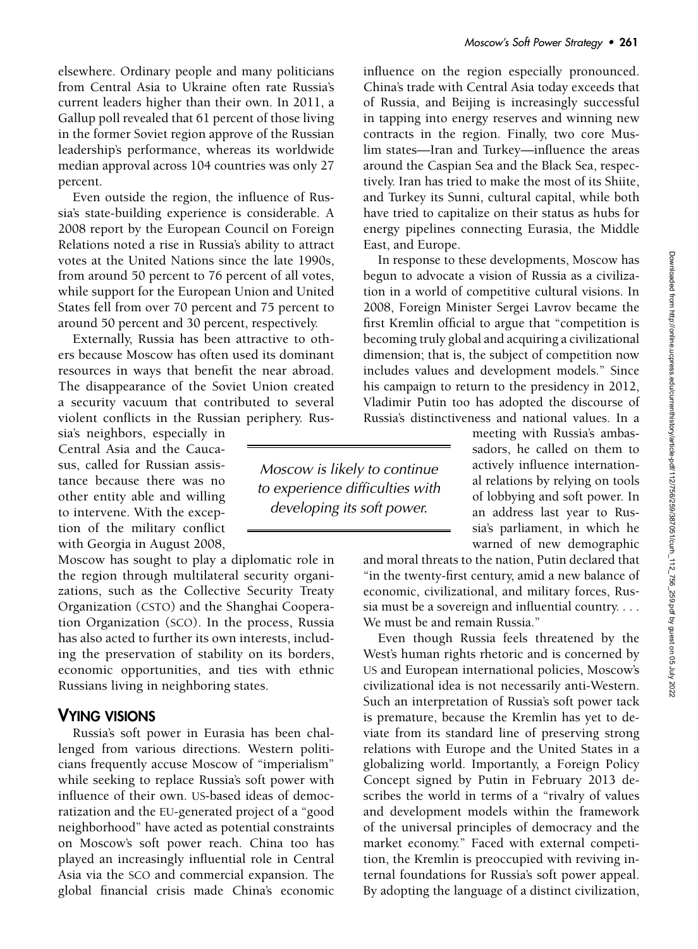elsewhere. Ordinary people and many politicians from Central Asia to Ukraine often rate Russia's current leaders higher than their own. In 2011, a Gallup poll revealed that 61 percent of those living in the former Soviet region approve of the Russian leadership's performance, whereas its worldwide median approval across 104 countries was only 27 percent.

Even outside the region, the influence of Russia's state-building experience is considerable. A 2008 report by the European Council on Foreign Relations noted a rise in Russia's ability to attract votes at the United Nations since the late 1990s, from around 50 percent to 76 percent of all votes, while support for the European Union and United States fell from over 70 percent and 75 percent to around 50 percent and 30 percent, respectively.

Externally, Russia has been attractive to others because Moscow has often used its dominant resources in ways that benefit the near abroad. The disappearance of the Soviet Union created a security vacuum that contributed to several violent conflicts in the Russian periphery. Rus-

sia's neighbors, especially in Central Asia and the Caucasus, called for Russian assistance because there was no other entity able and willing to intervene. With the exception of the military conflict with Georgia in August 2008,

Moscow has sought to play a diplomatic role in the region through multilateral security organizations, such as the Collective Security Treaty Organization (CSTO) and the Shanghai Cooperation Organization (SCO). In the process, Russia has also acted to further its own interests, including the preservation of stability on its borders, economic opportunities, and ties with ethnic Russians living in neighboring states.

# Vying visions

Russia's soft power in Eurasia has been challenged from various directions. Western politicians frequently accuse Moscow of "imperialism" while seeking to replace Russia's soft power with influence of their own. US-based ideas of democratization and the EU-generated project of a "good neighborhood" have acted as potential constraints on Moscow's soft power reach. China too has played an increasingly influential role in Central Asia via the SCO and commercial expansion. The global financial crisis made China's economic influence on the region especially pronounced. China's trade with Central Asia today exceeds that of Russia, and Beijing is increasingly successful in tapping into energy reserves and winning new contracts in the region. Finally, two core Muslim states—Iran and Turkey—influence the areas around the Caspian Sea and the Black Sea, respectively. Iran has tried to make the most of its Shiite, and Turkey its Sunni, cultural capital, while both have tried to capitalize on their status as hubs for energy pipelines connecting Eurasia, the Middle East, and Europe.

In response to these developments, Moscow has begun to advocate a vision of Russia as a civilization in a world of competitive cultural visions. In 2008, Foreign Minister Sergei Lavrov became the first Kremlin official to argue that "competition is becoming truly global and acquiring a civilizational dimension; that is, the subject of competition now includes values and development models." Since his campaign to return to the presidency in 2012, Vladimir Putin too has adopted the discourse of Russia's distinctiveness and national values. In a

*Moscow is likely to continue to experience difficulties with developing its soft power.*

meeting with Russia's ambassadors, he called on them to actively influence international relations by relying on tools of lobbying and soft power. In an address last year to Russia's parliament, in which he warned of new demographic

and moral threats to the nation, Putin declared that "in the twenty-first century, amid a new balance of economic, civilizational, and military forces, Russia must be a sovereign and influential country. . . . We must be and remain Russia."

Even though Russia feels threatened by the West's human rights rhetoric and is concerned by US and European international policies, Moscow's civilizational idea is not necessarily anti-Western. Such an interpretation of Russia's soft power tack is premature, because the Kremlin has yet to deviate from its standard line of preserving strong relations with Europe and the United States in a globalizing world. Importantly, a Foreign Policy Concept signed by Putin in February 2013 describes the world in terms of a "rivalry of values and development models within the framework of the universal principles of democracy and the market economy." Faced with external competition, the Kremlin is preoccupied with reviving internal foundations for Russia's soft power appeal. By adopting the language of a distinct civilization,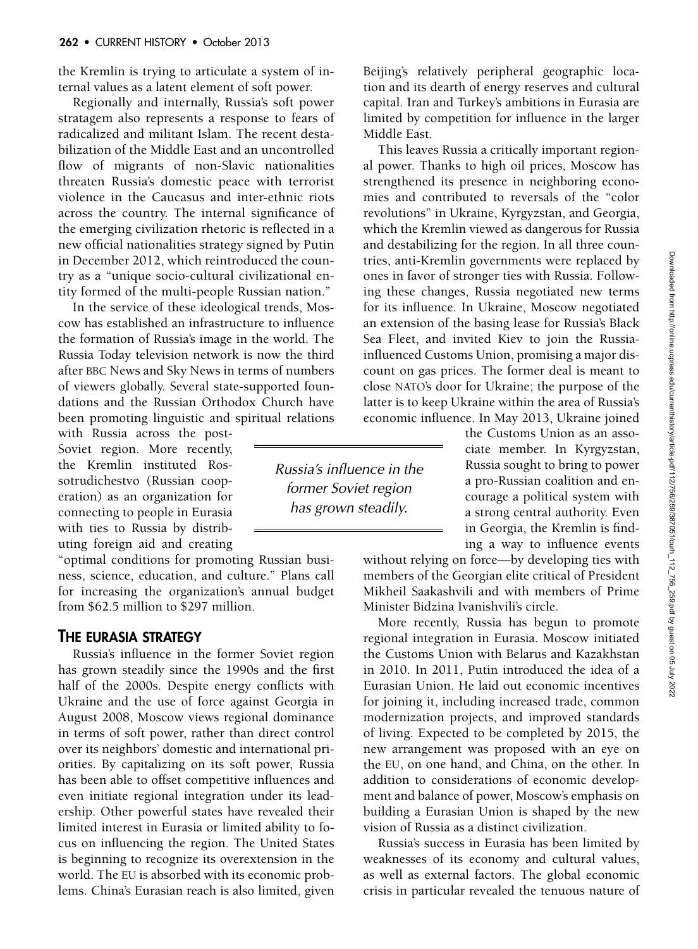Downloaded from http://online.ucpress.edu/currenthistory/article-pdf/112/756/2591/curh\_112\_756\_259.pdf by guest on 05 July 2022 Downloaded from http://online.ucpress.edu/currenthistory/article-pdf/112/756/259/387051/curh\_112\_756\_259.pdf by guest on 05 July 2022

the Kremlin is trying to articulate a system of internal values as a latent element of soft power.

Regionally and internally, Russia's soft power stratagem also represents a response to fears of radicalized and militant Islam. The recent destabilization of the Middle East and an uncontrolled flow of migrants of non-Slavic nationalities threaten Russia's domestic peace with terrorist violence in the Caucasus and inter-ethnic riots across the country. The internal significance of the emerging civilization rhetoric is reflected in a new official nationalities strategy signed by Putin in December 2012, which reintroduced the country as a "unique socio-cultural civilizational entity formed of the multi-people Russian nation."

In the service of these ideological trends, Moscow has established an infrastructure to influence the formation of Russia's image in the world. The Russia Today television network is now the third after BBC News and Sky News in terms of numbers of viewers globally. Several state-supported foundations and the Russian Orthodox Church have been promoting linguistic and spiritual relations

with Russia across the post-Soviet region. More recently, the Kremlin instituted Rossotrudichestvo (Russian cooperation) as an organization for connecting to people in Eurasia with ties to Russia by distributing foreign aid and creating

"optimal conditions for promoting Russian business, science, education, and culture." Plans call for increasing the organization's annual budget from \$62.5 million to \$297 million.

#### The eurasia strategy

Russia's influence in the former Soviet region has grown steadily since the 1990s and the first half of the 2000s. Despite energy conflicts with Ukraine and the use of force against Georgia in August 2008, Moscow views regional dominance in terms of soft power, rather than direct control over its neighbors' domestic and international priorities. By capitalizing on its soft power, Russia has been able to offset competitive influences and even initiate regional integration under its leadership. Other powerful states have revealed their limited interest in Eurasia or limited ability to focus on influencing the region. The United States is beginning to recognize its overextension in the world. The EU is absorbed with its economic problems. China's Eurasian reach is also limited, given Beijing's relatively peripheral geographic location and its dearth of energy reserves and cultural capital. Iran and Turkey's ambitions in Eurasia are limited by competition for influence in the larger Middle East.

This leaves Russia a critically important regional power. Thanks to high oil prices, Moscow has strengthened its presence in neighboring economies and contributed to reversals of the "color revolutions" in Ukraine, Kyrgyzstan, and Georgia, which the Kremlin viewed as dangerous for Russia and destabilizing for the region. In all three countries, anti-Kremlin governments were replaced by ones in favor of stronger ties with Russia. Following these changes, Russia negotiated new terms for its influence. In Ukraine, Moscow negotiated an extension of the basing lease for Russia's Black Sea Fleet, and invited Kiev to join the Russiainfluenced Customs Union, promising a major discount on gas prices. The former deal is meant to close NATO's door for Ukraine; the purpose of the latter is to keep Ukraine within the area of Russia's economic influence. In May 2013, Ukraine joined

> the Customs Union as an associate member. In Kyrgyzstan, Russia sought to bring to power a pro-Russian coalition and encourage a political system with a strong central authority. Even in Georgia, the Kremlin is finding a way to influence events

without relying on force—by developing ties with members of the Georgian elite critical of President Mikheil Saakashvili and with members of Prime Minister Bidzina Ivanishvili's circle.

More recently, Russia has begun to promote regional integration in Eurasia. Moscow initiated the Customs Union with Belarus and Kazakhstan in 2010. In 2011, Putin introduced the idea of a Eurasian Union. He laid out economic incentives for joining it, including increased trade, common modernization projects, and improved standards of living. Expected to be completed by 2015, the new arrangement was proposed with an eye on the EU, on one hand, and China, on the other. In addition to considerations of economic development and balance of power, Moscow's emphasis on building a Eurasian Union is shaped by the new vision of Russia as a distinct civilization.

Russia's success in Eurasia has been limited by weaknesses of its economy and cultural values, as well as external factors. The global economic crisis in particular revealed the tenuous nature of

*Russia's influence in the former Soviet region has grown steadily.*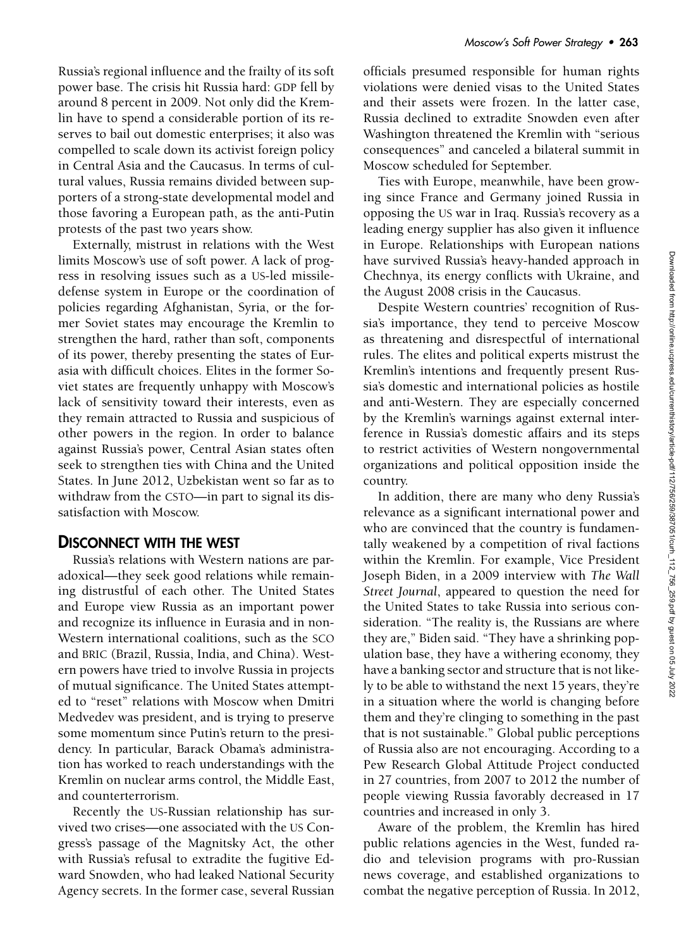Russia's regional influence and the frailty of its soft power base. The crisis hit Russia hard: GDP fell by around 8 percent in 2009. Not only did the Kremlin have to spend a considerable portion of its reserves to bail out domestic enterprises; it also was compelled to scale down its activist foreign policy in Central Asia and the Caucasus. In terms of cultural values, Russia remains divided between supporters of a strong-state developmental model and those favoring a European path, as the anti-Putin protests of the past two years show.

Externally, mistrust in relations with the West limits Moscow's use of soft power. A lack of progress in resolving issues such as a US-led missiledefense system in Europe or the coordination of policies regarding Afghanistan, Syria, or the former Soviet states may encourage the Kremlin to strengthen the hard, rather than soft, components of its power, thereby presenting the states of Eurasia with difficult choices. Elites in the former Soviet states are frequently unhappy with Moscow's lack of sensitivity toward their interests, even as they remain attracted to Russia and suspicious of other powers in the region. In order to balance against Russia's power, Central Asian states often seek to strengthen ties with China and the United States. In June 2012, Uzbekistan went so far as to withdraw from the CSTO—in part to signal its dissatisfaction with Moscow.

## Disconnect with the west

Russia's relations with Western nations are paradoxical—they seek good relations while remaining distrustful of each other. The United States and Europe view Russia as an important power and recognize its influence in Eurasia and in non-Western international coalitions, such as the SCO and BRIC (Brazil, Russia, India, and China). Western powers have tried to involve Russia in projects of mutual significance. The United States attempted to "reset" relations with Moscow when Dmitri Medvedev was president, and is trying to preserve some momentum since Putin's return to the presidency. In particular, Barack Obama's administration has worked to reach understandings with the Kremlin on nuclear arms control, the Middle East, and counterterrorism.

Recently the US-Russian relationship has survived two crises—one associated with the US Congress's passage of the Magnitsky Act, the other with Russia's refusal to extradite the fugitive Edward Snowden, who had leaked National Security Agency secrets. In the former case, several Russian officials presumed responsible for human rights violations were denied visas to the United States and their assets were frozen. In the latter case, Russia declined to extradite Snowden even after Washington threatened the Kremlin with "serious consequences" and canceled a bilateral summit in Moscow scheduled for September.

Ties with Europe, meanwhile, have been growing since France and Germany joined Russia in opposing the US war in Iraq. Russia's recovery as a leading energy supplier has also given it influence in Europe. Relationships with European nations have survived Russia's heavy-handed approach in Chechnya, its energy conflicts with Ukraine, and the August 2008 crisis in the Caucasus.

Despite Western countries' recognition of Russia's importance, they tend to perceive Moscow as threatening and disrespectful of international rules. The elites and political experts mistrust the Kremlin's intentions and frequently present Russia's domestic and international policies as hostile and anti-Western. They are especially concerned by the Kremlin's warnings against external interference in Russia's domestic affairs and its steps to restrict activities of Western nongovernmental organizations and political opposition inside the country.

In addition, there are many who deny Russia's relevance as a significant international power and who are convinced that the country is fundamentally weakened by a competition of rival factions within the Kremlin. For example, Vice President Joseph Biden, in a 2009 interview with *The Wall Street Journal*, appeared to question the need for the United States to take Russia into serious consideration. "The reality is, the Russians are where they are," Biden said. "They have a shrinking population base, they have a withering economy, they have a banking sector and structure that is not likely to be able to withstand the next 15 years, they're in a situation where the world is changing before them and they're clinging to something in the past that is not sustainable." Global public perceptions of Russia also are not encouraging. According to a Pew Research Global Attitude Project conducted in 27 countries, from 2007 to 2012 the number of people viewing Russia favorably decreased in 17 countries and increased in only 3.

Aware of the problem, the Kremlin has hired public relations agencies in the West, funded radio and television programs with pro-Russian news coverage, and established organizations to combat the negative perception of Russia. In 2012,